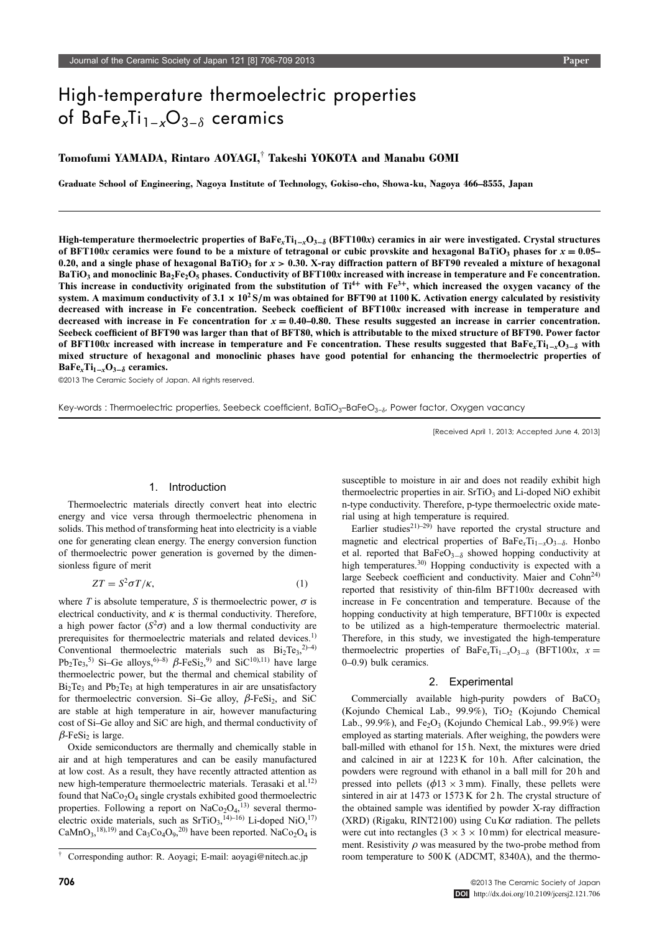# $\frac{1}{2}$   $\frac{1}{2}$   $\frac{1}{2}$   $\frac{1}{2}$   $\frac{1}{2}$   $\frac{1}{2}$   $\frac{1}{2}$   $\frac{1}{2}$   $\frac{1}{2}$   $\frac{1}{2}$   $\frac{1}{2}$   $\frac{1}{2}$   $\frac{1}{2}$   $\frac{1}{2}$   $\frac{1}{2}$   $\frac{1}{2}$   $\frac{1}{2}$   $\frac{1}{2}$   $\frac{1}{2}$   $\frac{1}{2}$   $\frac{1}{2}$   $\frac{1}{2}$  or bare<sub>x</sub> $\prod_{x=1}^{n}$ O<sub>3−</sub> $\delta$  ceramics

# Tomofumi YAMADA, Rintaro AOYAGI,<sup>†</sup> Takeshi YOKOTA and Manabu GOMI

Graduate School of Engineering, Nagoya Institute of Technology, Gokiso-cho, Showa-ku, Nagoya 466–8555, Japan

High-temperature thermoelectric properties of BaFe<sub>x</sub>Ti<sub>1-x</sub>O<sub>3- $\delta$ </sub> (BFT100x) ceramics in air were investigated. Crystal structures of BFT100x ceramics were found to be a mixture of tetragonal or cubic provskite and hexagonal BaTiO<sub>3</sub> phases for  $x = 0.05-$ 0.20, and a single phase of hexagonal BaTiO<sub>3</sub> for  $x > 0.30$ . X-ray diffraction pattern of BFT90 revealed a mixture of hexagonal BaTiO<sub>3</sub> and monoclinic Ba<sub>2</sub>Fe<sub>2</sub>O<sub>5</sub> phases. Conductivity of BFT100x increased with increase in temperature and Fe concentration. This increase in conductivity originated from the substitution of  $Ti^{4+}$  with  $Fe^{3+}$ , which increased the oxygen vacancy of the system. A maximum conductivity of 3.1  $\times$  10<sup>2</sup> S/m was obtained for BFT90 at 1100 K. Activation energy calculated by resistivity decreased with increase in Fe concentration. Seebeck coefficient of BFT100x increased with increase in temperature and decreased with increase in Fe concentration for  $x = 0.40 - 0.80$ . These results suggested an increase in carrier concentration. Seebeck coefficient of BFT90 was larger than that of BFT80, which is attributable to the mixed structure of BFT90. Power factor of BFT100x increased with increase in temperature and Fe concentration. These results suggested that BaFe<sub>x</sub>Ti<sub>1-x</sub>O<sub>3- $\delta$ </sub> with mixed structure of hexagonal and monoclinic phases have good potential for enhancing the thermoelectric properties of BaFe<sub>x</sub>Ti<sub>1-x</sub>O<sub>3- $\delta$ </sub> ceramics.

©2013 The Ceramic Society of Japan. All rights reserved.

Key-words : Thermoelectric properties, Seebeck coefficient, BaTiO<sub>3</sub>–BaFeO<sub>3−</sub><sup>8</sup>, Power factor, Oxygen vacancy

[Received April 1, 2013; Accepted June 4, 2013]

### 1. Introduction

Thermoelectric materials directly convert heat into electric energy and vice versa through thermoelectric phenomena in solids. This method of transforming heat into electricity is a viable one for generating clean energy. The energy conversion function of thermoelectric power generation is governed by the dimensionless figure of merit

$$
ZT = S^2 \sigma T / \kappa, \tag{1}
$$

where T is absolute temperature, S is thermoelectric power,  $\sigma$  is electrical conductivity, and  $\kappa$  is thermal conductivity. Therefore, a high power factor  $(S^2\sigma)$  and a low thermal conductivity are prerequisites for thermoelectric materials and related devices.<sup>1)</sup> Conventional thermoelectric materials such as  $Bi_2Te_3^{(2)}$ Pb<sub>2</sub>Te<sub>3</sub>,<sup>5)</sup> Si–Ge alloys,<sup>6)–8)</sup>  $\beta$ -FeSi<sub>2</sub>,<sup>9)</sup> and SiC<sup>10),11</sup>) have large thermoelectric power, but the thermal and chemical stability of  $Bi<sub>2</sub>Te<sub>3</sub>$  and  $Pb<sub>2</sub>Te<sub>3</sub>$  at high temperatures in air are unsatisfactory for thermoelectric conversion. Si-Ge alloy,  $\beta$ -FeSi<sub>2</sub>, and SiC are stable at high temperature in air, however manufacturing cost of Si-Ge alloy and SiC are high, and thermal conductivity of  $\beta$ -FeSi<sub>2</sub> is large.

Oxide semiconductors are thermally and chemically stable in air and at high temperatures and can be easily manufactured at low cost. As a result, they have recently attracted attention as new high-temperature thermoelectric materials. Terasaki et al.<sup>12)</sup> found that NaCo<sub>2</sub>O<sub>4</sub> single crystals exhibited good thermoelectric properties. Following a report on  $NaCo<sub>2</sub>O<sub>4</sub>,<sup>13</sup>$  several thermoelectric oxide materials, such as  $SrTiO<sub>3</sub>,<sup>14</sup>–16$  Li-doped NiO,<sup>17)</sup> CaMnO<sub>3</sub>,<sup>18),19</sup> and Ca<sub>3</sub>Co<sub>4</sub>O<sub>9</sub>,<sup>20</sup> have been reported. NaCo<sub>2</sub>O<sub>4</sub> is

susceptible to moisture in air and does not readily exhibit high thermoelectric properties in air. SrTiO<sub>3</sub> and Li-doped NiO exhibit n-type conductivity. Therefore, p-type thermoelectric oxide material using at high temperature is required.

Earlier studies<sup>21)-29)</sup> have reported the crystal structure and magnetic and electrical properties of  $BaFe<sub>x</sub>Ti<sub>1-x</sub>O<sub>3-\delta</sub>$ . Honbo et al. reported that  $BaFeO<sub>3-\delta</sub>$  showed hopping conductivity at high temperatures.<sup>30)</sup> Hopping conductivity is expected with a large Seebeck coefficient and conductivity. Maier and Cohn<sup>24)</sup> reported that resistivity of thin-film BFT100x decreased with increase in Fe concentration and temperature. Because of the hopping conductivity at high temperature,  $BFT100x$  is expected to be utilized as a high-temperature thermoelectric material. Therefore, in this study, we investigated the high-temperature thermoelectric properties of BaFe<sub>x</sub>Ti<sub>1-x</sub>O<sub>3- $\delta$ </sub> (BFT100x, x =  $0-0.9$ ) bulk ceramics.

#### 2. Experimental

Commercially available high-purity powders of BaCO<sub>3</sub> (Kojundo Chemical Lab., 99.9%), TiO<sub>2</sub> (Kojundo Chemical Lab., 99.9%), and  $Fe<sub>2</sub>O<sub>3</sub>$  (Kojundo Chemical Lab., 99.9%) were employed as starting materials. After weighing, the powders were ball-milled with ethanol for 15 h. Next, the mixtures were dried and calcined in air at 1223 K for 10 h. After calcination, the powders were reground with ethanol in a ball mill for 20 h and pressed into pellets ( $\phi$ 13  $\times$  3 mm). Finally, these pellets were sintered in air at 1473 or 1573 K for 2 h. The crystal structure of the obtained sample was identified by powder X-ray diffraction (XRD) (Rigaku, RINT2100) using Cu K $\alpha$  radiation. The pellets were cut into rectangles  $(3 \times 3 \times 10 \text{ mm})$  for electrical measurement. Resistivity  $\rho$  was measured by the two-probe method from <sup>†</sup> Corresponding author: R. Aoyagi; E-mail: aoyagi@nitech.ac.jp com temperature to 500 K (ADCMT, 8340A), and the thermo-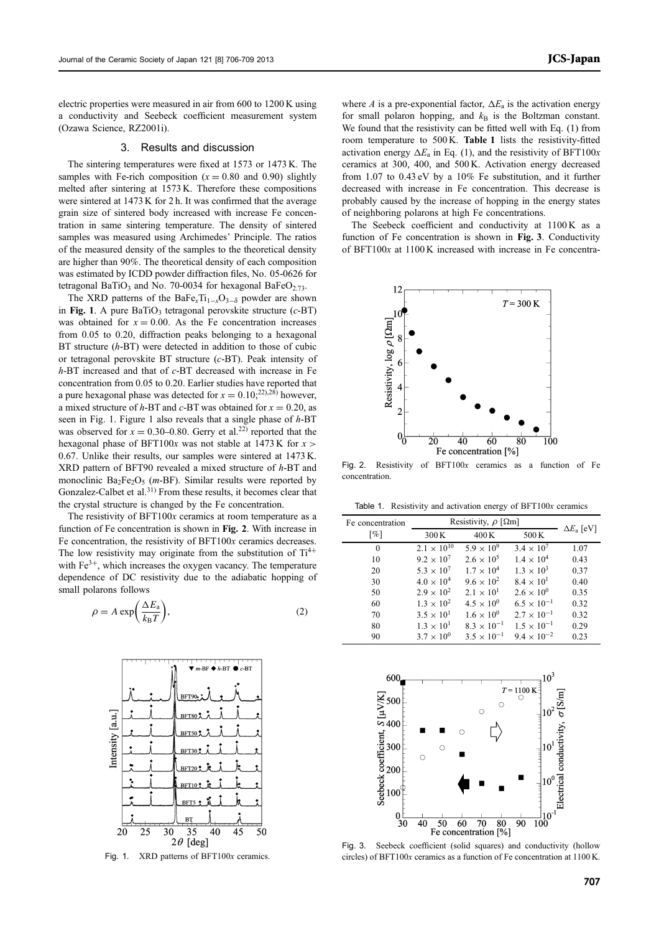electric properties were measured in air from 600 to 1200 K using a conductivity and Seebeck coefficient measurement system (Ozawa Science, RZ2001i).

# 3. Results and discussion

The sintering temperatures were fixed at 1573 or 1473 K. The samples with Fe-rich composition  $(x = 0.80$  and 0.90) slightly melted after sintering at 1573 K. Therefore these compositions were sintered at 1473 K for 2 h. It was confirmed that the average grain size of sintered body increased with increase Fe concentration in same sintering temperature. The density of sintered samples was measured using Archimedes' Principle. The ratios of the measured density of the samples to the theoretical density are higher than 90%. The theoretical density of each composition was estimated by ICDD powder diffraction files, No. 05-0626 for tetragonal BaTiO<sub>3</sub> and No. 70-0034 for hexagonal BaFeO<sub>2.73</sub>.

The XRD patterns of the BaFe<sub>x</sub>Ti<sub>1-x</sub>O<sub>3- $\delta$ </sub> powder are shown in Fig. 1. A pure BaTiO<sub>3</sub> tetragonal perovskite structure  $(c$ -BT) was obtained for  $x = 0.00$ . As the Fe concentration increases from 0.05 to 0.20, diffraction peaks belonging to a hexagonal BT structure (h-BT) were detected in addition to those of cubic or tetragonal perovskite BT structure (c-BT). Peak intensity of  $h$ -BT increased and that of  $c$ -BT decreased with increase in Fe concentration from 0.05 to 0.20. Earlier studies have reported that a pure hexagonal phase was detected for  $x = 0.10$ ;<sup>22),28)</sup> however, a mixed structure of h-BT and c-BT was obtained for  $x = 0.20$ , as seen in Fig. 1. Figure 1 also reveals that a single phase of  $h$ -BT was observed for  $x = 0.30{\text -}0.80$ . Gerry et al.<sup>22)</sup> reported that the hexagonal phase of BFT100x was not stable at 1473 K for  $x >$ 0.67. Unlike their results, our samples were sintered at 1473 K. XRD pattern of BFT90 revealed a mixed structure of h-BT and monoclinic Ba<sub>2</sub>Fe<sub>2</sub>O<sub>5</sub> (*m*-BF). Similar results were reported by Gonzalez-Calbet et al.<sup>31)</sup> From these results, it becomes clear that the crystal structure is changed by the Fe concentration.

The resistivity of  $BFT100x$  ceramics at room temperature as a function of Fe concentration is shown in Fig. 2. With increase in Fe concentration, the resistivity of BFT100x ceramics decreases. The low resistivity may originate from the substitution of  $Ti^{4+}$ with  $Fe<sup>3+</sup>$ , which increases the oxygen vacancy. The temperature dependence of DC resistivity due to the adiabatic hopping of small polarons follows

$$
\rho = A \exp\left(\frac{\Delta E_{\rm a}}{k_{\rm B}T}\right),\tag{2}
$$



Fig. 1. XRD patterns of BFT100x ceramics.

where A is a pre-exponential factor,  $\Delta E_a$  is the activation energy for small polaron hopping, and  $k<sub>B</sub>$  is the Boltzman constant. We found that the resistivity can be fitted well with Eq. (1) from room temperature to 500 K. Table 1 lists the resistivity-fitted activation energy  $\Delta E_a$  in Eq. (1), and the resistivity of BFT100x ceramics at 300, 400, and 500 K. Activation energy decreased from 1.07 to 0.43 eV by a 10% Fe substitution, and it further decreased with increase in Fe concentration. This decrease is probably caused by the increase of hopping in the energy states of neighboring polarons at high Fe concentrations.

The Seebeck coefficient and conductivity at 1100 K as a function of Fe concentration is shown in Fig. 3. Conductivity of BFT100x at 1100 K increased with increase in Fe concentra-



Fig. 2. Resistivity of BFT100x ceramics as a function of Fe concentration.

Table 1. Resistivity and activation energy of  $BFT100x$  ceramics

| Fe concentration   | Resistivity, $\rho$ [ $\Omega$ m] |                      |                      |                         |
|--------------------|-----------------------------------|----------------------|----------------------|-------------------------|
| $\lceil \% \rceil$ | 300K                              | 400K                 | 500K                 | $\Delta E_{\rm a}$ [eV] |
| $\theta$           | $2.1 \times 10^{10}$              | $5.9 \times 10^{9}$  | $3.4 \times 10^{7}$  | 1.07                    |
| 10                 | $9.2 \times 10^{7}$               | $2.6 \times 10^{5}$  | $1.4 \times 10^{4}$  | 0.43                    |
| 20                 | $5.3 \times 10^{7}$               | $1.7 \times 10^{4}$  | $1.3 \times 10^{3}$  | 0.37                    |
| 30                 | $4.0 \times 10^{4}$               | $9.6 \times 10^{2}$  | $8.4 \times 10^{1}$  | 0.40                    |
| 50                 | $2.9 \times 10^{2}$               | $2.1 \times 10^{1}$  | $2.6 \times 10^{0}$  | 0.35                    |
| 60                 | $1.3 \times 10^{2}$               | $4.5 \times 10^{0}$  | $6.5 \times 10^{-1}$ | 0.32                    |
| 70                 | $3.5 \times 10^{1}$               | $1.6 \times 10^{0}$  | $2.7 \times 10^{-1}$ | 0.32                    |
| 80                 | $1.3 \times 10^{1}$               | $8.3 \times 10^{-1}$ | $1.5 \times 10^{-1}$ | 0.29                    |
| 90                 | $3.7 \times 10^{0}$               | $3.5 \times 10^{-1}$ | $9.4 \times 10^{-2}$ | 0.23                    |



Fig. 3. Seebeck coefficient (solid squares) and conductivity (hollow circles) of BFT100x ceramics as a function of Fe concentration at 1100 K.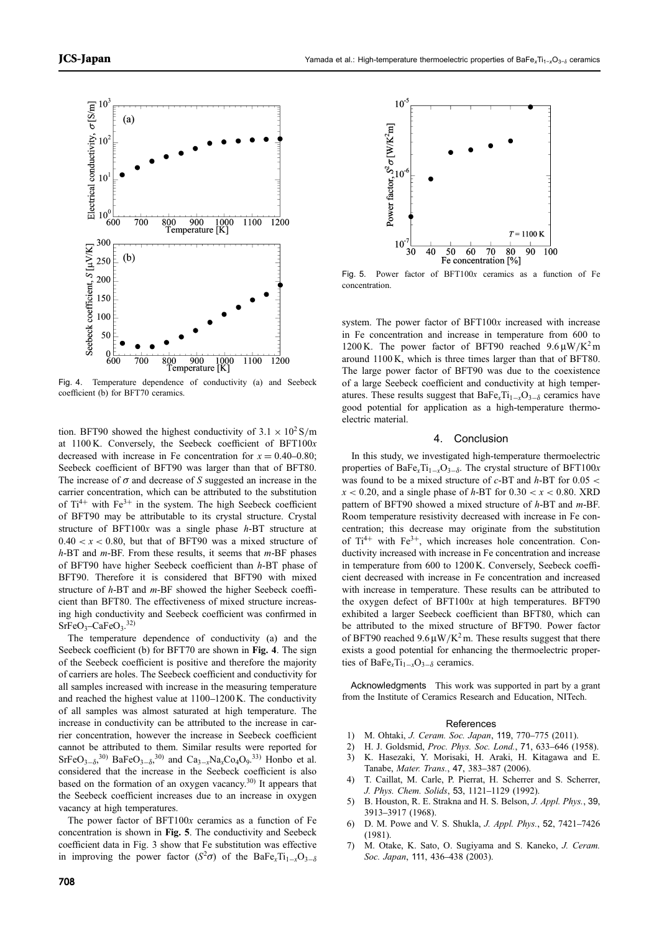

Fig. 4. Temperature dependence of conductivity (a) and Seebeck coefficient (b) for BFT70 ceramics.

tion. BFT90 showed the highest conductivity of  $3.1 \times 10^2$  S/m at 1100 K. Conversely, the Seebeck coefficient of BFT100x decreased with increase in Fe concentration for  $x = 0.40{\text -}0.80$ ; Seebeck coefficient of BFT90 was larger than that of BFT80. The increase of  $\sigma$  and decrease of S suggested an increase in the carrier concentration, which can be attributed to the substitution of  $Ti^{4+}$  with  $Fe^{3+}$  in the system. The high Seebeck coefficient of BFT90 may be attributable to its crystal structure. Crystal structure of BFT100 $x$  was a single phase  $h$ -BT structure at  $0.40 < x < 0.80$ , but that of BFT90 was a mixed structure of  $h$ -BT and  $m$ -BF. From these results, it seems that  $m$ -BF phases of BFT90 have higher Seebeck coefficient than h-BT phase of BFT90. Therefore it is considered that BFT90 with mixed structure of h-BT and m-BF showed the higher Seebeck coefficient than BFT80. The effectiveness of mixed structure increasing high conductivity and Seebeck coefficient was confirmed in  $SrFeO<sub>3</sub>$ -CaFe $O<sub>3</sub>$ .<sup>32)</sup>

The temperature dependence of conductivity (a) and the Seebeck coefficient (b) for BFT70 are shown in Fig. 4. The sign of the Seebeck coefficient is positive and therefore the majority of carriers are holes. The Seebeck coefficient and conductivity for all samples increased with increase in the measuring temperature and reached the highest value at  $1100-1200$  K. The conductivity of all samples was almost saturated at high temperature. The increase in conductivity can be attributed to the increase in carrier concentration, however the increase in Seebeck coefficient cannot be attributed to them. Similar results were reported for  $SrFeO<sub>3-\delta</sub>$ <sup>30</sup>) BaFeO<sub>3- $\delta$ </sub><sup>30</sup>) and Ca<sub>3-x</sub>Na<sub>x</sub>Co<sub>4</sub>O<sub>9</sub>.<sup>33</sup>) Honbo et al. considered that the increase in the Seebeck coefficient is also based on the formation of an oxygen vacancy.<sup>30)</sup> It appears that the Seebeck coefficient increases due to an increase in oxygen vacancy at high temperatures.

The power factor of  $BFT100x$  ceramics as a function of Fe concentration is shown in Fig. 5. The conductivity and Seebeck coefficient data in Fig. 3 show that Fe substitution was effective in improving the power factor  $(S^2\sigma)$  of the BaFe<sub>x</sub>Ti<sub>1-x</sub>O<sub>3- $\delta$ </sub>



Fig. 5. Power factor of BFT100x ceramics as a function of Fe concentration.

system. The power factor of BFT100x increased with increase in Fe concentration and increase in temperature from 600 to 1200 K. The power factor of BFT90 reached  $9.6 \mu W/K^2$  m around 1100 K, which is three times larger than that of BFT80. The large power factor of BFT90 was due to the coexistence of a large Seebeck coefficient and conductivity at high temperatures. These results suggest that  $BaFe<sub>x</sub>Ti<sub>1-x</sub>O<sub>3-\delta</sub>$  ceramics have good potential for application as a high-temperature thermoelectric material.

## 4. Conclusion

In this study, we investigated high-temperature thermoelectric properties of BaFe<sub>x</sub>Ti<sub>1-x</sub>O<sub>3- $\delta$ </sub>. The crystal structure of BFT100x was found to be a mixed structure of  $c$ -BT and  $h$ -BT for 0.05 <  $x < 0.20$ , and a single phase of h-BT for  $0.30 < x < 0.80$ . XRD pattern of BFT90 showed a mixed structure of h-BT and m-BF. Room temperature resistivity decreased with increase in Fe concentration; this decrease may originate from the substitution of  $Ti^{4+}$  with  $Fe^{3+}$ , which increases hole concentration. Conductivity increased with increase in Fe concentration and increase in temperature from 600 to 1200 K. Conversely, Seebeck coefficient decreased with increase in Fe concentration and increased with increase in temperature. These results can be attributed to the oxygen defect of BFT100x at high temperatures. BFT90 exhibited a larger Seebeck coefficient than BFT80, which can be attributed to the mixed structure of BFT90. Power factor of BFT90 reached  $9.6 \mu W/K^2$  m. These results suggest that there exists a good potential for enhancing the thermoelectric properties of BaFe<sub>x</sub>Ti<sub>1-x</sub>O<sub>3- $\delta$ </sub> ceramics.

Acknowledgments This work was supported in part by a grant from the Institute of Ceramics Research and Education, NITech.

#### References

- 1) M. Ohtaki, J. Ceram. Soc. Japan, 119, 770-775 (2011).
- 2) H. J. Goldsmid, Proc. Phys. Soc. Lond., 71, 633-646 (1958).
- 3) K. Hasezaki, Y. Morisaki, H. Araki, H. Kitagawa and E. Tanabe, Mater. Trans., 47, 383-387 (2006).
- 4) T. Caillat, M. Carle, P. Pierrat, H. Scherrer and S. Scherrer, J. Phys. Chem. Solids, 53, 1121-1129 (1992).
- 5) B. Houston, R. E. Strakna and H. S. Belson, J. Appl. Phys., 39, 39133917 (1968).
- 6) D. M. Powe and V. S. Shukla, *J. Appl. Phys.*, 52, 7421-7426 (1981).
- 7) M. Otake, K. Sato, O. Sugiyama and S. Kaneko, J. Ceram. Soc. Japan, 111, 436-438 (2003).